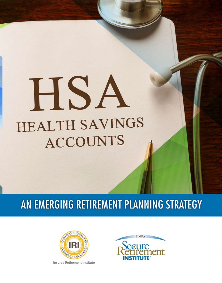# HSA **HEALTH SAVINGS ACCOUNTS**

# AN EMERGING RETIREMENT PLANNING STRATEGY



Insured Retirement Institute

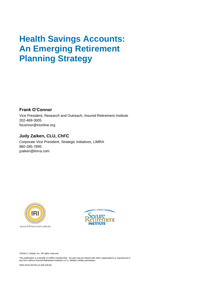# **Health Savings Accounts: An Emerging Retirement Planning Strategy**

**Frank O'Connor**

Vice President, Research and Outreach, Insured Retirement Institute 202-469-3005 foconnor@irionline.org

#### **Judy Zaiken, CLU, ChFC**

Corporate Vice President, Strategic Initiatives, LIMRA 860-285-7895 jzaiken@limra.com



Insured Retirement Institute



©2018 LL Global, Inc. All rights reserved.

This publication is a benefit of LIMRA membership. No part may be shared with other organizations or reproduced in any form without Insured Retirement Institute's or LL Global's written permission.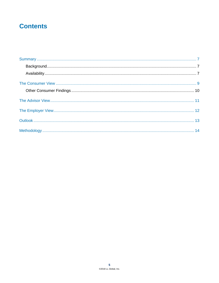### **Contents**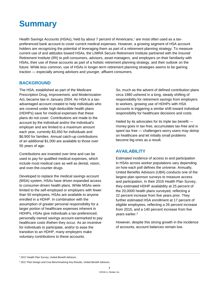# **Summary**

Health Savings Accounts (HSAs), held by about 7 percent of Americans, <sup>1</sup> are most often used as a taxpreferenced bank account to cover current medical expenses. However, a growing segment of HSA account holders are recognizing the potential of leveraging them as part of a retirement planning strategy. To measure current use of and attitudes toward HSAs, the LIMRA Secure Retirement Institute partnered with the Insured Retirement Institute (IRI) to poll consumers, advisors, asset managers, and employers on their familiarity with HSAs, their use of these accounts as part of a holistic retirement planning strategy, and their outlook on the future. While less common, use of HSAs in longer-term retirement planning strategies seems to be gaining traction — especially among advisors and younger, affluent consumers.

#### **BACKGROUND**

The HSA, established as part of the Medicare Prescription Drug, Improvement, and Modernization Act, became law in January 2004. An HSA is a taxadvantaged account created to help individuals who are covered under high-deductible health plans (HDHPs) save for medical expenses that these plans do not cover. Contributions are made to the account by the individual and/or the individual's employer and are limited to a maximum amount each year, currently \$3,450 for individuals and \$6,900 for families. Annual catch-up contributions of an additional \$1,000 are available to those over 55 years of age.

Contributions are invested over time and can be used to pay for qualified medical expenses, which include most medical care as well as dental, vision, and over-the-counter drugs.

Developed to replace the medical savings account (MSA) system, HSAs have driven expanded access to consumer-driven health plans. While MSAs were limited to the self-employed or employers with fewer than 50 employees, HSAs are available to anyone enrolled in a HDHP. In combination with the assumption of greater personal responsibility for a larger portion of healthcare expenses inherent in HDHPs, HSAs give individuals a tax-preferenced, personally owned savings account earmarked to pay healthcare costs if/when they occur. As an incentive for individuals to participate, and/or to ease the transition to an HDHP, many employers make voluntary contributions to these accounts.

So, much as the advent of defined contribution plans circa 1980 ushered in a long, steady shifting of responsibility for retirement savings from employers to workers, growing use of HDHPs with HSA accounts is triggering a similar shift toward individual responsibility for healthcare decisions and costs.

Hailed by its advocates for its triple tax benefit money goes in tax-free, accumulates tax-free and is spent tax free — challengers worry users may skimp on healthcare and let initially small problems become big ones as a result.

#### **AVAILABILITY**

Estimated incidence of access to and participation in HSAs across worker populations vary depending on how each poll defines the universe. Annually, United Benefits Advisors (UBA) conducts one of the largest plan sponsor surveys to measure access and participation. In their 2016 Health Plan Survey, they estimated HDHP availability at 25 percent of the 20,0000 health plans surveyed, reflecting a 22 percent increase from five years prior. They further estimated HSA enrollment at 17 percent of eligible employees, reflecting a 26 percent increase from 2015, and a 140 percent increase from five years earlier.<sup>2</sup>

However, despite this strong growth in the incidence of accounts, account balances remain low.

<sup>1</sup> 2017 Health Plan Survey, United Benefit Advisors.

<sup>&</sup>lt;sup>2</sup> 2017 Plan Design and Cost Benchmarking Key Results, United Benefit Advisors.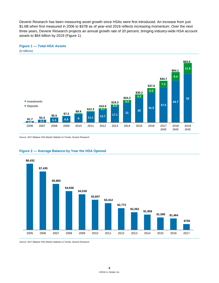Devenir Research has been measuring asset growth since HSAs were first introduced. An increase from just \$1.6B when first measured in 2006 to \$37B as of year-end 2016 reflects increasing momentum. Over the next three years, Devenir Research projects an annual growth rate of 20 percent, bringing industry-wide HSA account assets to \$64 billion by 2019 (Figure 1).

#### **Figure 1 — Total HSA Assets**



*Source: 2017 Midyear HSA Market Statistics & Trends, Devenir Research*

#### **Figure 2 — Average Balance by Year the HSA Opened**



*Source: 2017 Midyear HSA Market Statistics & Trends, Devenir Research*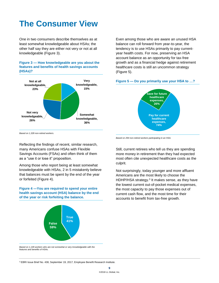# **The Consumer View**

One in two consumers describe themselves as at least somewhat knowledgeable about HSAs; the other half say they are either not very or not at all knowledgeable (Figure 3).

**Figure 3 — How knowledgeable are you about the features and benefits of health savings accounts (HSAs)?**



*Based on 1,328 non-retired workers.*

Reflecting the findings of recent, similar research, many Americans confuse HSAs with Flexible Savings Accounts (FSAs) and often think of them as a "use it or lose it" proposition.

Among those who report being at least somewhat knowledgeable with HSAs, 2 in 5 mistakenly believe that balances must be spent by the end of the year or forfeited (Figure 4).

**Figure 4 —You are required to spend your entire health savings account (HSA) balance by the end of the year or risk forfeiting the balance.**



Even among those who are aware an unused HSA balance can roll forward from year-to-year, the tendency is to use HSAs primarily to pay currentyear health costs. For now, preserving an HSA account balance as an opportunity for tax-free growth and as a financial hedge against retirement healthcare costs is still an uncommon strategy (Figure 5).

#### **Figure 5 — Do you primarily use your HSA to …?**



*Based on 294 non-retired workers participating in an HSA.*

Still, current retirees who tell us they are spending more money in retirement than they had expected most often cite unexpected healthcare costs as the culprit.

Not surprisingly, today younger and more affluent Americans are the most likely to choose the HDHP/HSA strategy. 3 It makes sense, as they have the lowest current out-of-pocket medical expenses, the most capacity to pay those expenses out of current cash flow, and the most time for their accounts to benefit from tax-free growth.

*Based on 1,149 workers who are not somewhat or very knowledgeable with the features and benefits of HSAs.*

<sup>3</sup> EBRI Issue Brief No. 438, September 19, 2017, Employee Benefit Research Institute.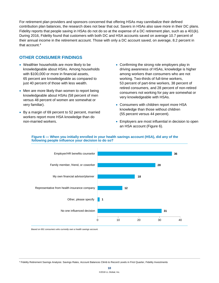For retirement plan providers and sponsors concerned that offering HSAs may cannibalize their defined contribution plan balances, the research does not bear that out. Savers in HSAs also save more in their DC plans. Fidelity reports that people saving in HSAs do not do so at the expense of a DC retirement plan, such as a 401(k). During 2016, Fidelity found that customers with both DC and HSA accounts saved on average 10.7 percent of their annual income in the retirement account. Those with only a DC account saved, on average, 8.2 percent in that account.<sup>4</sup>

#### **OTHER CONSUMER FINDINGS**

- Wealthier households are more likely to be knowledgeable about HSAs. Among households with \$100,000 or more in financial assets, 65 percent are knowledgeable as compared to just 40 percent of those with less wealth.
- Men are more likely than women to report being knowledgeable about HSAs (58 percent of men versus 48 percent of women are somewhat or very familiar).
- By a margin of 69 percent to 52 percent, married workers report more HSA knowledge than do non-married workers.
- Confirming the strong role employers play in driving awareness of HSAs, knowledge is higher among workers than consumers who are not working. Two-thirds of full-time workers, 53 percent of part-time workers, 38 percent of retired consumers, and 28 percent of non-retired consumers not working for pay are somewhat or very knowledgeable with HSAs.
- Consumers with children report more HSA knowledge than those without children (55 percent versus 44 percent).
- Employers are most influential in decision to open an HSA account (Figure 6).



#### **Figure 6 — When you initially enrolled in your health savings account (HSA), did any of the following people influence your decision to do so?**

*Based on 691 consumers who currently own a health savings account.*

<sup>4</sup> Fidelity Retirement Savings Analysis: Savings Rates, Account Balances Climb to Record Levels in First Quarter, Fidelity Investments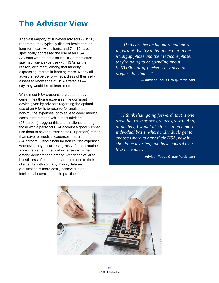# **The Advisor View**

The vast majority of surveyed advisors (9 in 10) report that they typically discuss healthcare or long-term care with clients, and 7 in 10 have specifically addressed the use of an HSA. Advisors who do not discuss HSAs most often site insufficient expertise with HSAs as the reason, with many among that minority expressing interest in learning more. Nearly all advisors (96 percent) — regardless of their selfassessed knowledge of HSA strategies say they would like to learn more.

While most HSA accounts are used to pay current healthcare expenses, the dominant advice given by advisors regarding the optimal use of an HSA is to reserve for unplanned, non-routine expenses or to save to cover medical costs in retirement. While most advisors (68 percent) suggest this to their clients, among those with a personal HSA account a good number use them to cover current costs (31 percent) rather than save for medical expenses in retirement (24 percent). Others hold for non-routine expenses whenever they occur. Using HSAs for non-routine and/or retirement medical expenses is higher among advisors than among Americans at-large, but still less often than they recommend to their clients. As with so many things, deferred gratification is more easily achieved in an intellectual exercise than in practice.

*"… HSAs are becoming more and more important. We try to tell them that in the Medigap phase and the Medicare phase, they're going to be spending about \$263,000 out-of-pocket. They need to prepare for that ..."*

**— Advisor Focus Group Participant**

*"... I think that, going forward, that is one area that we may see greater growth. And, ultimately, I would like to see it on a more individual basis, where individuals get to choose where to have their HSA, how it should be invested, and have control over that decision..."*

**— Advisor Focus Group Participant**

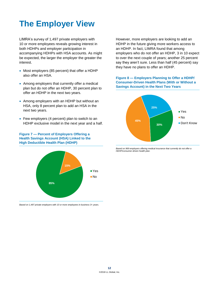# **The Employer View**

LIMRA's survey of 1,497 private employers with 10 or more employees reveals growing interest in both HDHPs and employer participation in accompanying HDHPs with HSA accounts. As might be expected, the larger the employer the greater the interest.

- Most employers (85 percent) that offer a HDHP also offer an HSA.
- Among employers that currently offer a medical plan but do not offer an HDHP, 30 percent plan to offer an HDHP in the next two years.
- Among employers with an HDHP but without an HSA, only 8 percent plan to add an HSA in the next two years.
- Few employers (4 percent) plan to switch to an HDHP exclusive model in the next year and a half.

**Figure 7 — Percent of Employers Offering a Health Savings Account (HSA) Linked to the High Deductible Health Plan (HDHP)**



*Based on 1,497 private employers with 10 or more employees in business 3+ years.*

However, more employers are looking to add an HDHP in the future giving more workers access to an HDHP. In fact, LIMRA found that among employers who do not offer an HDHP, 3 in 10 expect to over the next couple of years; another 25 percent say they aren't sure. Less than half (45 percent) say they have no plans to offer an HDHP.

#### **Figure 8 — Employers Planning to Offer a HDHP/ Consumer-Driven Health Plans (With or Without a Savings Account) in the Next Two Years**



*Based on 969 employers offering medical insurance that currently do not offer a HDHP/consumer-driven health plan.*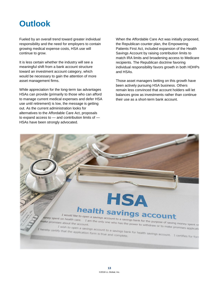# **Outlook**

Fueled by an overall trend toward greater individual responsibility and the need for employers to contain growing medical expense costs, HSA use will continue to grow.

It is less certain whether the industry will see a meaningful shift from a bank account structure toward an investment account category, which would be necessary to gain the attention of more asset management firms.

While appreciation for the long-term tax advantages HSAs can provide (primarily to those who can afford to manage current medical expenses and defer HSA use until retirement) is low, the message is getting out. As the current administration looks for alternatives to the Affordable Care Act, proposals to expand access to — and contribution limits of — HSAs have been strongly advocated.

When the Affordable Care Act was initially proposed, the Republican counter plan, the Empowering Patients First Act, included expansion of the Health Savings Account by raising contribution limits to match IRA limits and broadening access to Medicare recipients. The Republican doctrine favoring individual responsibility favors growth in both HDHPs and HSAs.

Those asset managers betting on this growth have been actively pursuing HSA business. Others remain less convinced that account holders will let balances grow as investments rather than continue their use as a short-term bank account.

## **HSA** health savings account I would like to open a savings account to a savings bank for the purpose of saving money spent or<br>about the account. **T** *would* like to

I am the only one who has the power to withdraw or to make promises application<br>Savings account to a saving to withdraw or to make promises application make promises about the account. I wish to open a savings account to a savings bank for health savings account. I certifies for form is true and complete. eby certify that the application form is true and complete.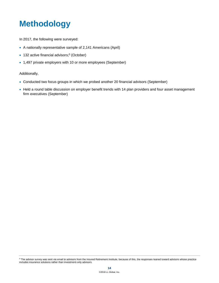# **Methodology**

In 2017, the following were surveyed:

- A nationally representative sample of 2,141 Americans (April)
- 132 active financial advisors;<sup>5</sup> (October)
- 1,497 private employers with 10 or more employees (September)

#### Additionally,

- Conducted two focus groups in which we probed another 20 financial advisors (September)
- Held a round table discussion on employer benefit trends with 14 plan providers and four asset management firm executives (September)

<sup>&</sup>lt;sup>5</sup> The advisor survey was sent via email to advisors from the Insured Retirement Institute, because of this, the responses leaned toward advisors whose practice includes insurance solutions rather than investment-only advisors.